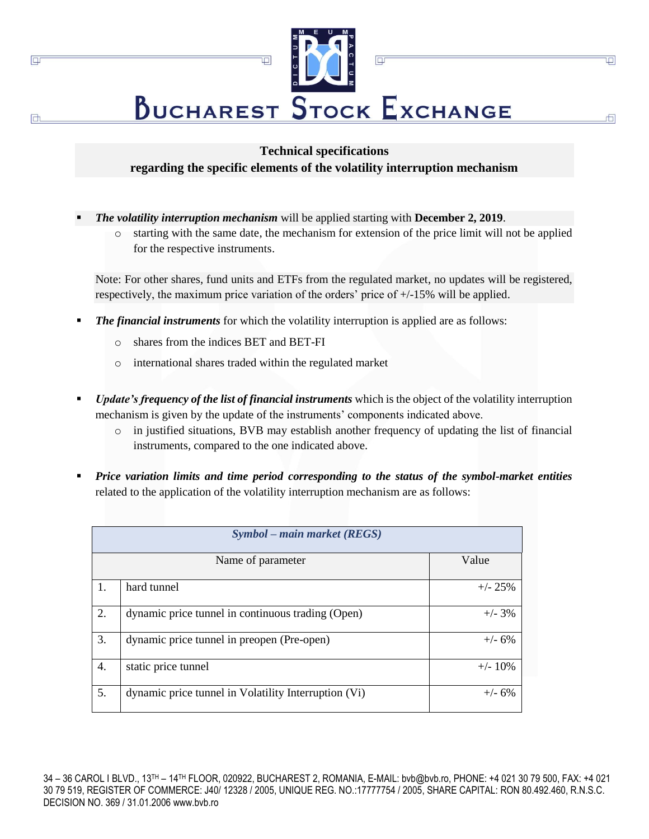

叵

市

## **Technical specifications regarding the specific elements of the volatility interruption mechanism**

- *The volatility interruption mechanism* will be applied starting with **December 2, 2019**.
	- o starting with the same date, the mechanism for extension of the price limit will not be applied for the respective instruments.

Note: For other shares, fund units and ETFs from the regulated market, no updates will be registered, respectively, the maximum price variation of the orders' price of +/-15% will be applied.

- *The financial instruments* for which the volatility interruption is applied are as follows:
	- o shares from the indices BET and BET-FI

 $\Box$ 

- o international shares traded within the regulated market
- *Update's frequency of the list of financial instruments* which is the object of the volatility interruption mechanism is given by the update of the instruments' components indicated above.
	- o in justified situations, BVB may establish another frequency of updating the list of financial instruments, compared to the one indicated above.
- *Price variation limits and time period corresponding to the status of the symbol-market entities*  related to the application of the volatility interruption mechanism are as follows:

| Symbol – main market (REGS) |                                                      |            |  |  |
|-----------------------------|------------------------------------------------------|------------|--|--|
|                             | Name of parameter                                    | Value      |  |  |
| 1.                          | hard tunnel                                          | $+/- 25%$  |  |  |
| 2.                          | dynamic price tunnel in continuous trading (Open)    | $+/- 3\%$  |  |  |
| 3.                          | dynamic price tunnel in preopen (Pre-open)           | $+/- 6%$   |  |  |
| 4.                          | static price tunnel                                  | $+/- 10\%$ |  |  |
| 5.                          | dynamic price tunnel in Volatility Interruption (Vi) | $+/- 6%$   |  |  |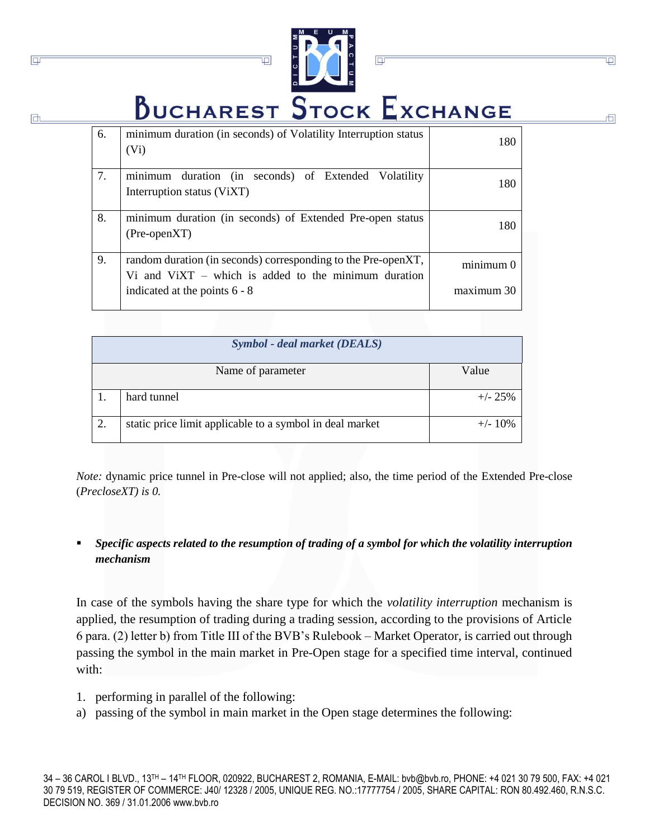

 $\overline{\square}$ 

Φ

市

 $\overline{\mathbb{P}}$ 

**BUCHAREST STOCK EXCHANGE** 

| 6. | minimum duration (in seconds) of Volatility Interruption status<br>(V <sub>i</sub> )                                    | 180        |
|----|-------------------------------------------------------------------------------------------------------------------------|------------|
| 7. | minimum duration (in seconds) of Extended Volatility<br>Interruption status (ViXT)                                      | 180        |
| 8. | minimum duration (in seconds) of Extended Pre-open status<br>$(Pre-openXT)$                                             | 180        |
| 9. | random duration (in seconds) corresponding to the Pre-openXT,<br>Vi and $VixT$ – which is added to the minimum duration | minimum 0  |
|    | indicated at the points $6 - 8$                                                                                         | maximum 30 |

| <b>Symbol</b> - deal market (DEALS) |                                                          |            |  |  |
|-------------------------------------|----------------------------------------------------------|------------|--|--|
|                                     | Name of parameter                                        | Value      |  |  |
|                                     | hard tunnel                                              | $+/- 25%$  |  |  |
| 2.                                  | static price limit applicable to a symbol in deal market | $+/- 10\%$ |  |  |

*Note:* dynamic price tunnel in Pre-close will not applied; also, the time period of the Extended Pre-close (*PrecloseXT) is 0.*

## Specific aspects related to the resumption of trading of a symbol for which the volatility interruption *mechanism*

In case of the symbols having the share type for which the *volatility interruption* mechanism is applied, the resumption of trading during a trading session, according to the provisions of Article 6 para. (2) letter b) from Title III of the BVB's Rulebook – Market Operator, is carried out through passing the symbol in the main market in Pre-Open stage for a specified time interval, continued with:

1. performing in parallel of the following:

 $\overline{\mathbb{P}}$ 

a) passing of the symbol in main market in the Open stage determines the following: